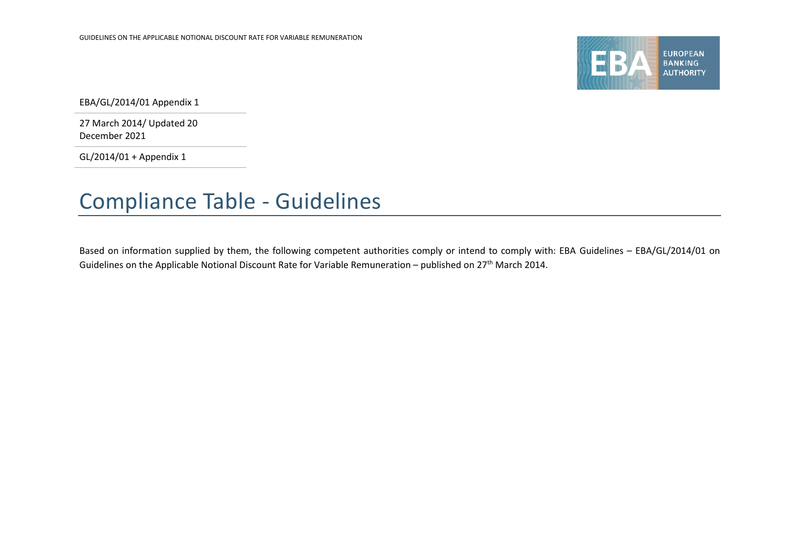

EBA/GL/2014/01 Appendix 1

27 March 2014/ Updated 20 December 2021

GL/2014/01 + Appendix 1

## Compliance Table - Guidelines

Based on information supplied by them, the following competent authorities comply or intend to comply with: EBA Guidelines – EBA/GL/2014/01 on Guidelines on the Applicable Notional Discount Rate for Variable Remuneration – published on 27th March 2014.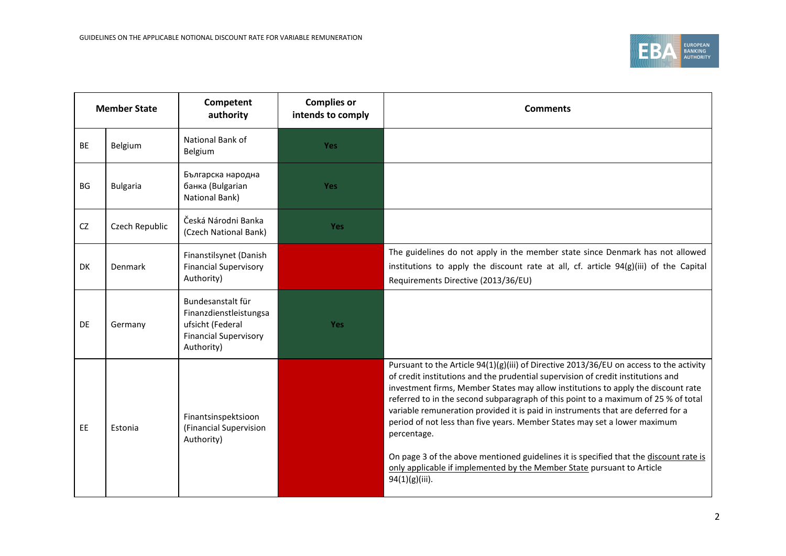

| <b>Member State</b> |                 | Competent<br>authority                                                                                        | <b>Complies or</b><br>intends to comply | <b>Comments</b>                                                                                                                                                                                                                                                                                                                                                                                                                                                                                                                                                                                                                                                                                                             |
|---------------------|-----------------|---------------------------------------------------------------------------------------------------------------|-----------------------------------------|-----------------------------------------------------------------------------------------------------------------------------------------------------------------------------------------------------------------------------------------------------------------------------------------------------------------------------------------------------------------------------------------------------------------------------------------------------------------------------------------------------------------------------------------------------------------------------------------------------------------------------------------------------------------------------------------------------------------------------|
| <b>BE</b>           | Belgium         | National Bank of<br>Belgium                                                                                   | <b>Yes</b>                              |                                                                                                                                                                                                                                                                                                                                                                                                                                                                                                                                                                                                                                                                                                                             |
| BG                  | <b>Bulgaria</b> | Българска народна<br>банка (Bulgarian<br>National Bank)                                                       | <b>Yes</b>                              |                                                                                                                                                                                                                                                                                                                                                                                                                                                                                                                                                                                                                                                                                                                             |
| <b>CZ</b>           | Czech Republic  | Česká Národni Banka<br>(Czech National Bank)                                                                  | Yes                                     |                                                                                                                                                                                                                                                                                                                                                                                                                                                                                                                                                                                                                                                                                                                             |
| DK                  | Denmark         | Finanstilsynet (Danish<br><b>Financial Supervisory</b><br>Authority)                                          |                                         | The guidelines do not apply in the member state since Denmark has not allowed<br>institutions to apply the discount rate at all, cf. article $94(g)(iii)$ of the Capital<br>Requirements Directive (2013/36/EU)                                                                                                                                                                                                                                                                                                                                                                                                                                                                                                             |
| DE                  | Germany         | Bundesanstalt für<br>Finanzdienstleistungsa<br>ufsicht (Federal<br><b>Financial Supervisory</b><br>Authority) | Yes                                     |                                                                                                                                                                                                                                                                                                                                                                                                                                                                                                                                                                                                                                                                                                                             |
| <b>EE</b>           | Estonia         | Finantsinspektsioon<br>(Financial Supervision<br>Authority)                                                   |                                         | Pursuant to the Article 94(1)(g)(iii) of Directive 2013/36/EU on access to the activity<br>of credit institutions and the prudential supervision of credit institutions and<br>investment firms, Member States may allow institutions to apply the discount rate<br>referred to in the second subparagraph of this point to a maximum of 25 % of total<br>variable remuneration provided it is paid in instruments that are deferred for a<br>period of not less than five years. Member States may set a lower maximum<br>percentage.<br>On page 3 of the above mentioned guidelines it is specified that the discount rate is<br>only applicable if implemented by the Member State pursuant to Article<br>94(1)(g)(iii). |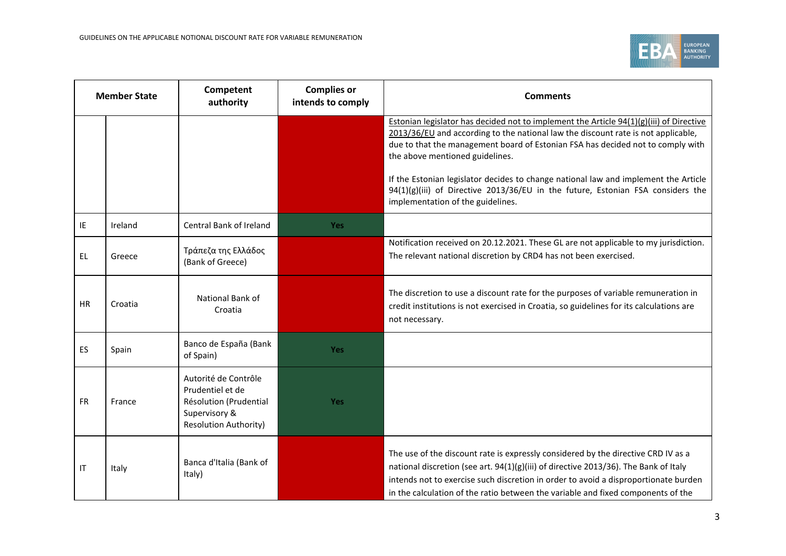

| <b>Member State</b> |         | <b>Complies or</b><br>Competent<br>intends to comply<br>authority                                                   |            | <b>Comments</b>                                                                                                                                                                                                                                                                                                                                                                                                                                                                                                     |
|---------------------|---------|---------------------------------------------------------------------------------------------------------------------|------------|---------------------------------------------------------------------------------------------------------------------------------------------------------------------------------------------------------------------------------------------------------------------------------------------------------------------------------------------------------------------------------------------------------------------------------------------------------------------------------------------------------------------|
|                     |         |                                                                                                                     |            | Estonian legislator has decided not to implement the Article $94(1)(g)(iii)$ of Directive<br>2013/36/EU and according to the national law the discount rate is not applicable,<br>due to that the management board of Estonian FSA has decided not to comply with<br>the above mentioned guidelines.<br>If the Estonian legislator decides to change national law and implement the Article<br>94(1)(g)(iii) of Directive 2013/36/EU in the future, Estonian FSA considers the<br>implementation of the guidelines. |
| IE                  | Ireland | Central Bank of Ireland                                                                                             | <b>Yes</b> |                                                                                                                                                                                                                                                                                                                                                                                                                                                                                                                     |
| EL                  | Greece  | Τράπεζα της Ελλάδος<br>(Bank of Greece)                                                                             |            | Notification received on 20.12.2021. These GL are not applicable to my jurisdiction.<br>The relevant national discretion by CRD4 has not been exercised.                                                                                                                                                                                                                                                                                                                                                            |
| HR.                 | Croatia | National Bank of<br>Croatia                                                                                         |            | The discretion to use a discount rate for the purposes of variable remuneration in<br>credit institutions is not exercised in Croatia, so guidelines for its calculations are<br>not necessary.                                                                                                                                                                                                                                                                                                                     |
| ES.                 | Spain   | Banco de España (Bank<br>of Spain)                                                                                  | Yes        |                                                                                                                                                                                                                                                                                                                                                                                                                                                                                                                     |
| FR                  | France  | Autorité de Contrôle<br>Prudentiel et de<br>Résolution (Prudential<br>Supervisory &<br><b>Resolution Authority)</b> | Yes        |                                                                                                                                                                                                                                                                                                                                                                                                                                                                                                                     |
| IT                  | Italy   | Banca d'Italia (Bank of<br>Italy)                                                                                   |            | The use of the discount rate is expressly considered by the directive CRD IV as a<br>national discretion (see art. 94(1)(g)(iii) of directive 2013/36). The Bank of Italy<br>intends not to exercise such discretion in order to avoid a disproportionate burden<br>in the calculation of the ratio between the variable and fixed components of the                                                                                                                                                                |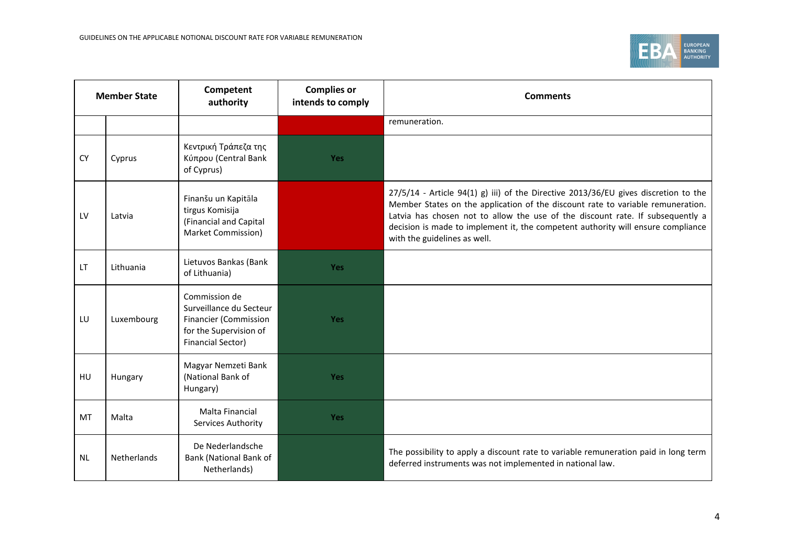

| <b>Member State</b> |             | Competent<br>authority                                                                                                         | <b>Complies or</b><br>intends to comply | <b>Comments</b>                                                                                                                                                                                                                                                                                                                                                              |
|---------------------|-------------|--------------------------------------------------------------------------------------------------------------------------------|-----------------------------------------|------------------------------------------------------------------------------------------------------------------------------------------------------------------------------------------------------------------------------------------------------------------------------------------------------------------------------------------------------------------------------|
|                     |             |                                                                                                                                |                                         | remuneration.                                                                                                                                                                                                                                                                                                                                                                |
| <b>CY</b>           | Cyprus      | Κεντρική Τράπεζα της<br>Κύπρου (Central Bank<br>of Cyprus)                                                                     | <b>Yes</b>                              |                                                                                                                                                                                                                                                                                                                                                                              |
| LV                  | Latvia      | Finanšu un Kapitāla<br>tirgus Komisija<br>(Financial and Capital<br>Market Commission)                                         |                                         | 27/5/14 - Article 94(1) g) iii) of the Directive 2013/36/EU gives discretion to the<br>Member States on the application of the discount rate to variable remuneration.<br>Latvia has chosen not to allow the use of the discount rate. If subsequently a<br>decision is made to implement it, the competent authority will ensure compliance<br>with the guidelines as well. |
| LT.                 | Lithuania   | Lietuvos Bankas (Bank<br>of Lithuania)                                                                                         | <b>Yes</b>                              |                                                                                                                                                                                                                                                                                                                                                                              |
| LU                  | Luxembourg  | Commission de<br>Surveillance du Secteur<br><b>Financier (Commission</b><br>for the Supervision of<br><b>Financial Sector)</b> | <b>Yes</b>                              |                                                                                                                                                                                                                                                                                                                                                                              |
| HU                  | Hungary     | Magyar Nemzeti Bank<br>(National Bank of<br>Hungary)                                                                           | <b>Yes</b>                              |                                                                                                                                                                                                                                                                                                                                                                              |
| MT                  | Malta       | Malta Financial<br>Services Authority                                                                                          | <b>Yes</b>                              |                                                                                                                                                                                                                                                                                                                                                                              |
| <b>NL</b>           | Netherlands | De Nederlandsche<br>Bank (National Bank of<br>Netherlands)                                                                     |                                         | The possibility to apply a discount rate to variable remuneration paid in long term<br>deferred instruments was not implemented in national law.                                                                                                                                                                                                                             |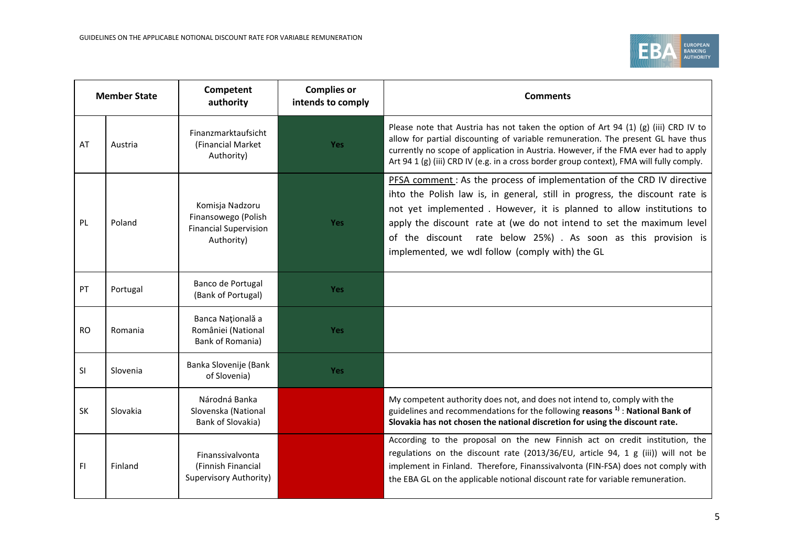

| <b>Member State</b> |          | Competent<br>authority                                                               | <b>Complies or</b><br>intends to comply | <b>Comments</b>                                                                                                                                                                                                                                                                                                                                                                                                             |
|---------------------|----------|--------------------------------------------------------------------------------------|-----------------------------------------|-----------------------------------------------------------------------------------------------------------------------------------------------------------------------------------------------------------------------------------------------------------------------------------------------------------------------------------------------------------------------------------------------------------------------------|
| AT                  | Austria  | Finanzmarktaufsicht<br>(Financial Market<br>Authority)                               | Yes                                     | Please note that Austria has not taken the option of Art 94 (1) (g) (iii) CRD IV to<br>allow for partial discounting of variable remuneration. The present GL have thus<br>currently no scope of application in Austria. However, if the FMA ever had to apply<br>Art 94 1 (g) (iii) CRD IV (e.g. in a cross border group context), FMA will fully comply.                                                                  |
| <b>PL</b>           | Poland   | Komisja Nadzoru<br>Finansowego (Polish<br><b>Financial Supervision</b><br>Authority) | <b>Yes</b>                              | PFSA comment: As the process of implementation of the CRD IV directive<br>ihto the Polish law is, in general, still in progress, the discount rate is<br>not yet implemented. However, it is planned to allow institutions to<br>apply the discount rate at (we do not intend to set the maximum level<br>of the discount rate below 25%) . As soon as this provision is<br>implemented, we wdl follow (comply with) the GL |
| PT                  | Portugal | Banco de Portugal<br>(Bank of Portugal)                                              | <b>Yes</b>                              |                                                                                                                                                                                                                                                                                                                                                                                                                             |
| <b>RO</b>           | Romania  | Banca Națională a<br>României (National<br>Bank of Romania)                          | Yes                                     |                                                                                                                                                                                                                                                                                                                                                                                                                             |
| <b>SI</b>           | Slovenia | Banka Slovenije (Bank<br>of Slovenia)                                                | <b>Yes</b>                              |                                                                                                                                                                                                                                                                                                                                                                                                                             |
| SK                  | Slovakia | Národná Banka<br>Slovenska (National<br>Bank of Slovakia)                            |                                         | My competent authority does not, and does not intend to, comply with the<br>guidelines and recommendations for the following reasons $1$ ) : National Bank of<br>Slovakia has not chosen the national discretion for using the discount rate.                                                                                                                                                                               |
| FI.                 | Finland  | Finanssivalvonta<br>(Finnish Financial<br>Supervisory Authority)                     |                                         | According to the proposal on the new Finnish act on credit institution, the<br>regulations on the discount rate (2013/36/EU, article 94, 1 g (iii)) will not be<br>implement in Finland. Therefore, Finanssivalvonta (FIN-FSA) does not comply with<br>the EBA GL on the applicable notional discount rate for variable remuneration.                                                                                       |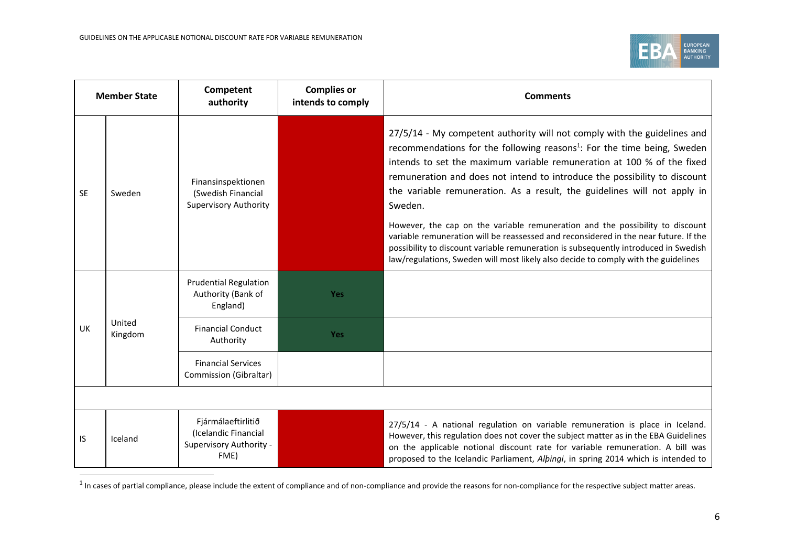

| <b>Member State</b> |                   | Competent<br>authority                                                        | <b>Complies or</b><br>intends to comply | <b>Comments</b>                                                                                                                                                                                                                                                                                                                                                                                                                                                                                                                                                                                                                                                                                                                                                     |  |
|---------------------|-------------------|-------------------------------------------------------------------------------|-----------------------------------------|---------------------------------------------------------------------------------------------------------------------------------------------------------------------------------------------------------------------------------------------------------------------------------------------------------------------------------------------------------------------------------------------------------------------------------------------------------------------------------------------------------------------------------------------------------------------------------------------------------------------------------------------------------------------------------------------------------------------------------------------------------------------|--|
| <b>SE</b>           | Sweden            | Finansinspektionen<br>(Swedish Financial<br><b>Supervisory Authority</b>      |                                         | 27/5/14 - My competent authority will not comply with the guidelines and<br>recommendations for the following reasons <sup>1</sup> : For the time being, Sweden<br>intends to set the maximum variable remuneration at 100 % of the fixed<br>remuneration and does not intend to introduce the possibility to discount<br>the variable remuneration. As a result, the guidelines will not apply in<br>Sweden.<br>However, the cap on the variable remuneration and the possibility to discount<br>variable remuneration will be reassessed and reconsidered in the near future. If the<br>possibility to discount variable remuneration is subsequently introduced in Swedish<br>law/regulations, Sweden will most likely also decide to comply with the guidelines |  |
| UK                  | United<br>Kingdom | <b>Prudential Regulation</b><br>Authority (Bank of<br>England)                | Yes                                     |                                                                                                                                                                                                                                                                                                                                                                                                                                                                                                                                                                                                                                                                                                                                                                     |  |
|                     |                   | <b>Financial Conduct</b><br>Authority                                         | Yes                                     |                                                                                                                                                                                                                                                                                                                                                                                                                                                                                                                                                                                                                                                                                                                                                                     |  |
|                     |                   | <b>Financial Services</b><br>Commission (Gibraltar)                           |                                         |                                                                                                                                                                                                                                                                                                                                                                                                                                                                                                                                                                                                                                                                                                                                                                     |  |
|                     |                   |                                                                               |                                         |                                                                                                                                                                                                                                                                                                                                                                                                                                                                                                                                                                                                                                                                                                                                                                     |  |
| IS                  | Iceland           | Fjármálaeftirlitið<br>(Icelandic Financial<br>Supervisory Authority -<br>FME) |                                         | 27/5/14 - A national regulation on variable remuneration is place in Iceland.<br>However, this regulation does not cover the subject matter as in the EBA Guidelines<br>on the applicable notional discount rate for variable remuneration. A bill was<br>proposed to the Icelandic Parliament, Alpingi, in spring 2014 which is intended to                                                                                                                                                                                                                                                                                                                                                                                                                        |  |

 $^{1}$  In cases of partial compliance, please include the extent of compliance and of non-compliance the reasons for non-compliance for the respective subject matter areas.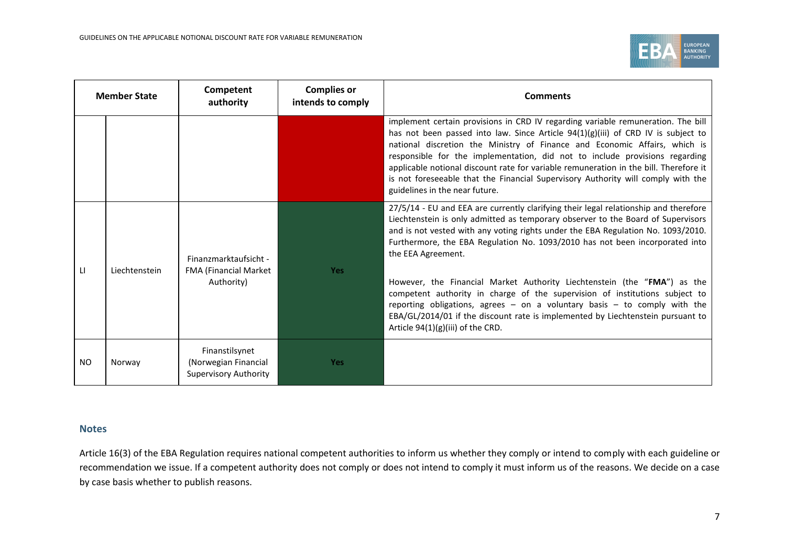

| <b>Member State</b> |               | Competent<br>authority                                                 | <b>Complies or</b><br>intends to comply | <b>Comments</b>                                                                                                                                                                                                                                                                                                                                                                                                                                                                                                                                                                                                                                                                                                                        |
|---------------------|---------------|------------------------------------------------------------------------|-----------------------------------------|----------------------------------------------------------------------------------------------------------------------------------------------------------------------------------------------------------------------------------------------------------------------------------------------------------------------------------------------------------------------------------------------------------------------------------------------------------------------------------------------------------------------------------------------------------------------------------------------------------------------------------------------------------------------------------------------------------------------------------------|
|                     |               |                                                                        |                                         | implement certain provisions in CRD IV regarding variable remuneration. The bill<br>has not been passed into law. Since Article 94(1)(g)(iii) of CRD IV is subject to<br>national discretion the Ministry of Finance and Economic Affairs, which is<br>responsible for the implementation, did not to include provisions regarding<br>applicable notional discount rate for variable remuneration in the bill. Therefore it<br>is not foreseeable that the Financial Supervisory Authority will comply with the<br>guidelines in the near future.                                                                                                                                                                                      |
| LI                  | Liechtenstein | Finanzmarktaufsicht -<br>FMA (Financial Market<br>Authority)           | <b>Yes</b>                              | 27/5/14 - EU and EEA are currently clarifying their legal relationship and therefore<br>Liechtenstein is only admitted as temporary observer to the Board of Supervisors<br>and is not vested with any voting rights under the EBA Regulation No. 1093/2010.<br>Furthermore, the EBA Regulation No. 1093/2010 has not been incorporated into<br>the EEA Agreement.<br>However, the Financial Market Authority Liechtenstein (the "FMA") as the<br>competent authority in charge of the supervision of institutions subject to<br>reporting obligations, agrees $-$ on a voluntary basis $-$ to comply with the<br>EBA/GL/2014/01 if the discount rate is implemented by Liechtenstein pursuant to<br>Article 94(1)(g)(iii) of the CRD. |
| NO.                 | Norway        | Finanstilsynet<br>(Norwegian Financial<br><b>Supervisory Authority</b> | <b>Yes</b>                              |                                                                                                                                                                                                                                                                                                                                                                                                                                                                                                                                                                                                                                                                                                                                        |

## **Notes**

Article 16(3) of the EBA Regulation requires national competent authorities to inform us whether they comply or intend to comply with each guideline or recommendation we issue. If a competent authority does not comply or does not intend to comply it must inform us of the reasons. We decide on a case by case basis whether to publish reasons.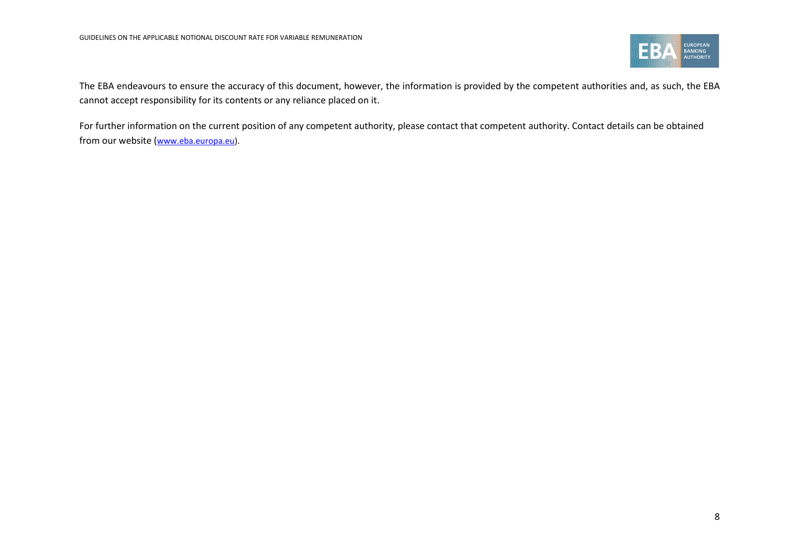

The EBA endeavours to ensure the accuracy of this document, however, the information is provided by the competent authorities and, as such, the EBA cannot accept responsibility for its contents or any reliance placed on it.

For further information on the current position of any competent authority, please contact that competent authority. Contact details can be obtained from our website ([www.eba.europa.eu\)](http://www.eba.europa.eu/).